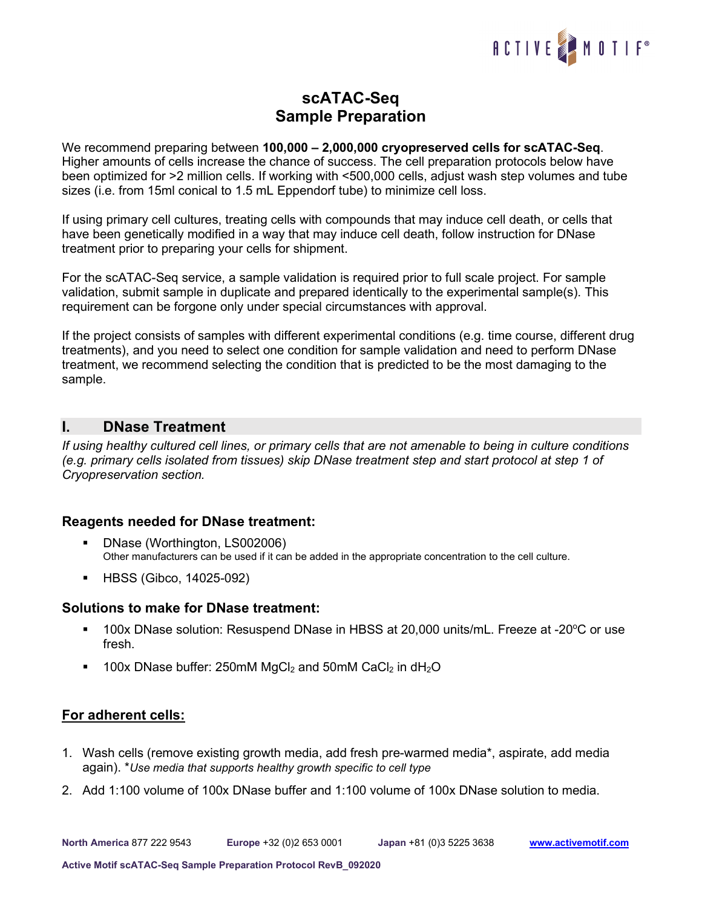

# **scATAC-Seq Sample Preparation**

We recommend preparing between **100,000 – 2,000,000 cryopreserved cells for scATAC-Seq**. Higher amounts of cells increase the chance of success. The cell preparation protocols below have been optimized for >2 million cells. If working with <500,000 cells, adjust wash step volumes and tube sizes (i.e. from 15ml conical to 1.5 mL Eppendorf tube) to minimize cell loss.

If using primary cell cultures, treating cells with compounds that may induce cell death, or cells that have been genetically modified in a way that may induce cell death, follow instruction for DNase treatment prior to preparing your cells for shipment.

For the scATAC-Seq service, a sample validation is required prior to full scale project. For sample validation, submit sample in duplicate and prepared identically to the experimental sample(s). This requirement can be forgone only under special circumstances with approval.

If the project consists of samples with different experimental conditions (e.g. time course, different drug treatments), and you need to select one condition for sample validation and need to perform DNase treatment, we recommend selecting the condition that is predicted to be the most damaging to the sample.

# **I. DNase Treatment**

*If using healthy cultured cell lines, or primary cells that are not amenable to being in culture conditions (e.g. primary cells isolated from tissues) skip DNase treatment step and start protocol at step 1 of Cryopreservation section.*

### **Reagents needed for DNase treatment:**

- DNase (Worthington, LS002006) Other manufacturers can be used if it can be added in the appropriate concentration to the cell culture.
- HBSS (Gibco, 14025-092)

### **Solutions to make for DNase treatment:**

- 100x DNase solution: Resuspend DNase in HBSS at 20,000 units/mL. Freeze at -20°C or use fresh.
- $\blacksquare$  100x DNase buffer: 250mM MgCl<sub>2</sub> and 50mM CaCl<sub>2</sub> in dH<sub>2</sub>O

### **For adherent cells:**

- 1. Wash cells (remove existing growth media, add fresh pre-warmed media\*, aspirate, add media again). \**Use media that supports healthy growth specific to cell type*
- 2. Add 1:100 volume of 100x DNase buffer and 1:100 volume of 100x DNase solution to media.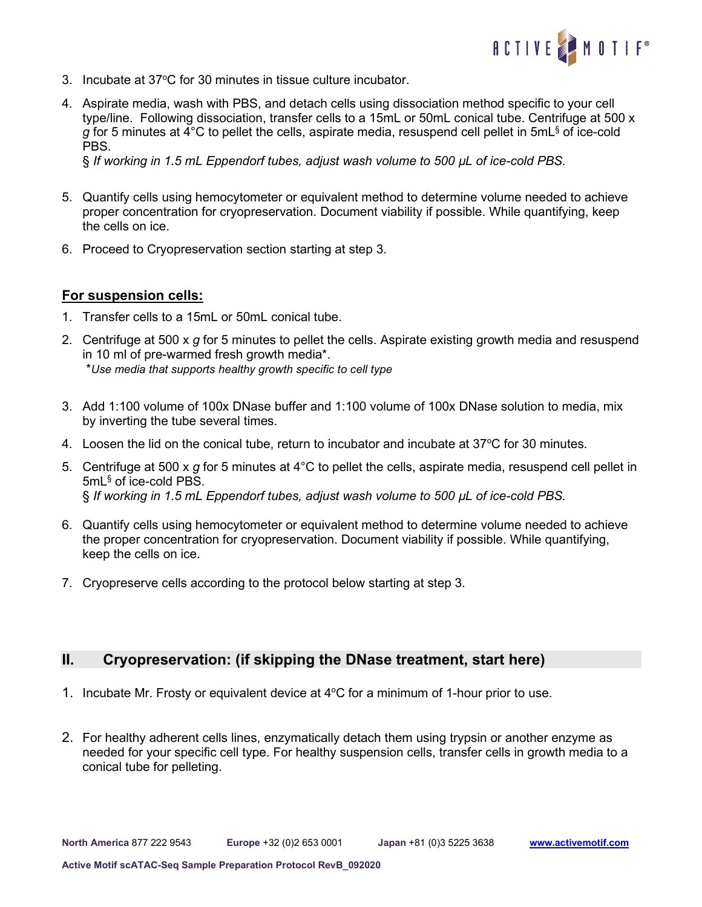

- 3. Incubate at 37°C for 30 minutes in tissue culture incubator.
- 4. Aspirate media, wash with PBS, and detach cells using dissociation method specific to your cell type/line. Following dissociation, transfer cells to a 15mL or 50mL conical tube. Centrifuge at 500 x *g* for 5 minutes at 4°C to pellet the cells, aspirate media, resuspend cell pellet in 5mL§ of ice-cold PBS.

§ *If working in 1.5 mL Eppendorf tubes, adjust wash volume to 500 µL of ice-cold PBS.*

- 5. Quantify cells using hemocytometer or equivalent method to determine volume needed to achieve proper concentration for cryopreservation. Document viability if possible. While quantifying, keep the cells on ice.
- 6. Proceed to Cryopreservation section starting at step 3.

## **For suspension cells:**

- 1. Transfer cells to a 15mL or 50mL conical tube.
- 2. Centrifuge at 500 x *g* for 5 minutes to pellet the cells. Aspirate existing growth media and resuspend in 10 ml of pre-warmed fresh growth media\*. \**Use media that supports healthy growth specific to cell type*
- 3. Add 1:100 volume of 100x DNase buffer and 1:100 volume of 100x DNase solution to media, mix by inverting the tube several times.
- 4. Loosen the lid on the conical tube, return to incubator and incubate at  $37^{\circ}$ C for 30 minutes.
- 5. Centrifuge at 500 x *g* for 5 minutes at 4°C to pellet the cells, aspirate media, resuspend cell pellet in 5mL§ of ice-cold PBS. § *If working in 1.5 mL Eppendorf tubes, adjust wash volume to 500 µL of ice-cold PBS.*
- 6. Quantify cells using hemocytometer or equivalent method to determine volume needed to achieve the proper concentration for cryopreservation. Document viability if possible. While quantifying, keep the cells on ice.
- 7. Cryopreserve cells according to the protocol below starting at step 3.

# **II. Cryopreservation: (if skipping the DNase treatment, start here)**

- 1. Incubate Mr. Frosty or equivalent device at  $4^{\circ}$ C for a minimum of 1-hour prior to use.
- 2. For healthy adherent cells lines, enzymatically detach them using trypsin or another enzyme as needed for your specific cell type. For healthy suspension cells, transfer cells in growth media to a conical tube for pelleting.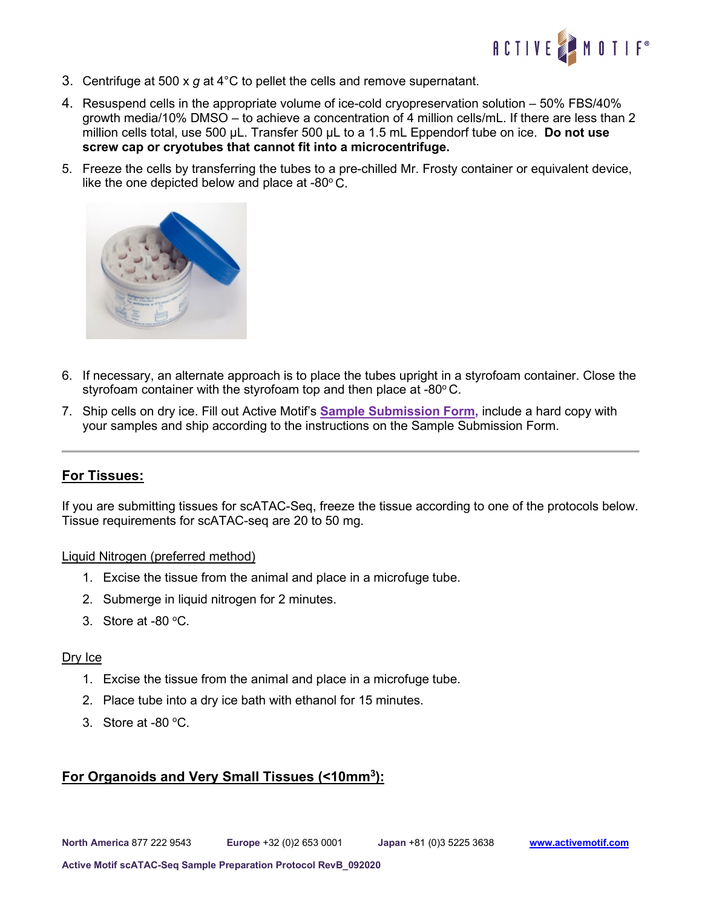

- 3. Centrifuge at 500 x *g* at 4°C to pellet the cells and remove supernatant.
- 4. Resuspend cells in the appropriate volume of ice-cold cryopreservation solution 50% FBS/40% growth media/10% DMSO – to achieve a concentration of 4 million cells/mL. If there are less than 2 million cells total, use 500 µL. Transfer 500 µL to a 1.5 mL Eppendorf tube on ice. **Do not use screw cap or cryotubes that cannot fit into a microcentrifuge.**
- 5. Freeze the cells by transferring the tubes to a pre-chilled Mr. Frosty container or equivalent device, like the one depicted below and place at -80 $^{\circ}$  C.



- 6. If necessary, an alternate approach is to place the tubes upright in a styrofoam container. Close the styrofoam container with the styrofoam top and then place at  $-80^{\circ}$ C.
- 7. Ship cells on dry ice. Fill out Active Motif's **[Sample Submission Form,](https://www.activemotif.com/catalog/1299/single-cell-atac-seq-services#documents)** include a hard copy with your samples and ship according to the instructions on the Sample Submission Form.

### **For Tissues:**

If you are submitting tissues for scATAC-Seq, freeze the tissue according to one of the protocols below. Tissue requirements for scATAC-seq are 20 to 50 mg.

#### Liquid Nitrogen (preferred method)

- 1. Excise the tissue from the animal and place in a microfuge tube.
- 2. Submerge in liquid nitrogen for 2 minutes.
- 3. Store at  $-80$  °C.

#### Dry Ice

- 1. Excise the tissue from the animal and place in a microfuge tube.
- 2. Place tube into a dry ice bath with ethanol for 15 minutes.
- 3. Store at -80 $\,^{\circ}$ C.

# **For Organoids and Very Small Tissues (<10mm3):**